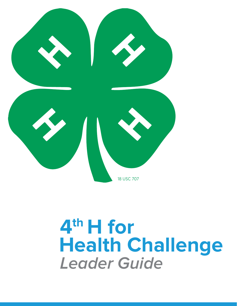

# **4th H for Health Challenge Leader Guide**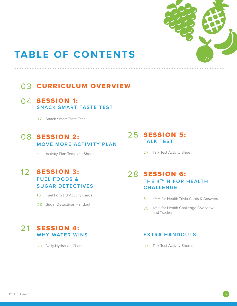

# **TABLE OF CONTENTS**

### 03 CURRICULUM OVERVIEW

### $04$  SESSION 1: **SNACK SMART TASTE TEST**

07 Snack Smart Taste Test

### 08 SESSION 2: **MOVE MORE ACTIVITY PLAN**

11 Activity Plan Template Sheet

### 12 **SESSION 3: FUEL FOODS & SUGAR DETECTIVES**

15 Fuel Forward Activity Cards

20 Sugar Detectives Handout

### 21 **SESSION 4: WHY WATER WINS**

23 Daily Hydration Chart

### 25 **SESSION 5: TALK TEST**

27 Talk Test Activity Sheet

### 28 SESSION 6: **THE 4TH H FOR HEALTH CHALLENGE**

- 31 4<sup>th</sup> H for Health Trivia Cards & Answers
- 35 4<sup>th</sup> H for Health Challenge Overview and Tracker

### **EXTRA HANDOUTS**

37 Talk Test Activity Sheets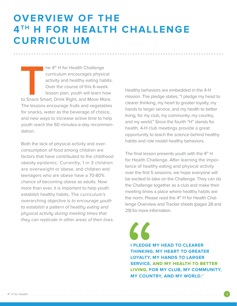# **OVERVIEW OF THE 4TH H FOR HEALTH CHALLENGE CURRICULUM**

**...................................................................................**

he 4<sup>th</sup> H for Health Challenge curriculum encourages physical activity and healthy eating habits. Over the course of this 6-week lesson plan, youth will learn how to Snack Smart, Drink Right, and Move More. The lessons encourage fruits and vegetables for snacks, water as the beverage of choice, and new ways to increase active time to help youth reach the 60 minutes-a-day recommendation.

Both the lack of physical activity and overconsumption of food among children are factors that have contributed to the childhood obesity epidemic. Currently, 1 in 3 children are overweight or obese, and children and teenagers who are obese have a 70-80% chance of becoming obese as adults. Now more than ever, it is important to help youth establish healthy habits. The curriculum's overarching objective is to encourage youth to establish a pattern of healthy eating and physical activity during meeting times that they can replicate in other areas of their lives. Healthy behaviors are embedded in the 4-H mission. The pledge states, "I pledge my head to clearer thinking, my heart to greater loyalty, my hands to larger service, and my health to better living, for my club, my community, my country, and my world." Since the fourth "H" stands for health, 4-H club meetings provide a great opportunity to teach the science behind healthy habits and role model healthy behaviors.

The final lesson presents youth with the  $4<sup>th</sup>$  H for Health Challenge. After learning the importance of healthy eating and physical activity over the first 5 sessions, we hope everyone will be excited to take on the Challenge. They can do the Challenge together as a club and make their meeting times a place where healthy habits are the norm. Please read the  $4<sup>th</sup>$  H for Health Challenge Overview and Tracker sheets (pages 28 and 29) for more information.

**I PLEDGE MY HEAD TO CLEARER THINKING, MY HEART TO GREATER LOYALTY, MY HANDS TO LARGER SERVICE,** AND MY HEALTH TO BETTER LIVING, **FOR MY CLUB, MY COMMUNITY, MY COUNTRY, AND MY WORLD."**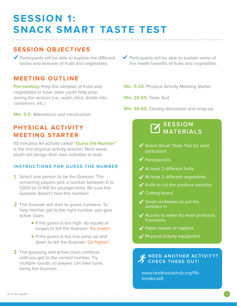# **SESSION 1: SNACK SMART TASTE TEST ...................................................................................**

### **SESSION OBJECTIVES**

 $\blacktriangledown$  Participants will be able to explore the different tastes and textures of fruits and vegetables.

### **MEETING OUTLINE**

**Pre-meeting:** Prep the samples of fruits and vegetables or have older youth help prep during the session (i.e., wash, slice, divide into containers, etc.)

**Min. 0-5:** Attendance and introduction

### **PHYSICAL ACTIVITY MEETING STARTER**

(15 minutes) An activity called **"Guess the Number"** is the first physical activity session. Next week, youth will design their own activities to lead.

### **INSTRUCTIONS FOR GUESS THE NUMBER**

- Select one person to be the Guesser. The **1** remaining players pick a number between 0 to 1,000 (or 0-100 for younger kids). Be sure the Guesser doesn't hear the number!
- 2 The Guesser will start to guess numbers. To help him/her get to the right number, you give active clues:
	- If the guess is too high, do squats or lunges to tell the Guesser: Go lower!
	- **If the quess is too low, jump up and** down to tell the Guesser: Go higher!
- **3** The guessing and active clues continue until you get to the correct number. Try multiple rounds so players can take turns being the Guesser.

 $\blacktriangledown$  Participants will be able to explain some of the health benefits of fruits and vegetables.

**Min. 5-20:** Physical Activity Meeting Starter

**Min. 20-50:** Taste Test

**Min. 50-60:** Closing discussion and wrap-up

### **SESSION MATERIALS**

- $\checkmark$  Snack Smart Taste Test for each participant
- $\blacktriangledown$  Pens/pencils
- $\blacklozenge$  At least 2 different fruits
- $\blacktriangleright$  At least 2 different vegetables
- $\blacktriangleright$  Knife to cut the produce samples
- $\checkmark$  Cutting board
- $\checkmark$  Small containers to put the samples in
- $\triangleleft$  Access to water (to wash produce) if possible
- $\blacktriangleright$  Paper towels or napkins
- ◆ Physical activity equipment

### **NEED ANOTHER ACTIVITY? S** CHECK THESE OUT!

www.healthykidshub.org/PAbreaks.pdf.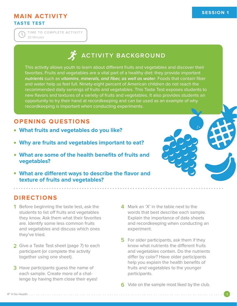### **MAIN ACTIVITY TASTE TEST**

30 Minutes **TIME TO COMPLETE ACTIVITY**

## **ACTIVITY BACKGROUND**

This activity allows youth to learn about different fruits and vegetables and discover their favorites. Fruits and vegetables are a vital part of a healthy diet: they provide important **nutrients** such as **vitamins**, **minerals, and fiber, as well as water**. Foods that contain fiber and water help us feel full. Ninety-eight percent of American children do not reach the recommended daily servings of fruits and vegetables. This Taste Test exposes students to new flavors and textures of a variety of fruits and vegetables. It also provides students an opportunity to try their hand at recordkeeping and can be used as an example of why recordkeeping is important when conducting experiments.

**...................................................................................**

### **OPENING QUESTIONS**

- **What fruits and vegetables do you like?**
- **Why are fruits and vegetables important to eat?**
- **What are some of the health benefits of fruits and vegetables?**
- **What are different ways to describe the flavor and texture of fruits and vegetables?**

### **DIRECTIONS**

- **1 4** Before beginning the taste test, ask the students to list off fruits and vegetables they know. Ask them what their favorites are. Identify some less common fruits and vegetables and discuss which ones they've tried.
- **2** Give a Taste Test sheet (page 7) to each participant (or complete the activity together using one sheet).
- **3** Have participants guess the name of each sample. Create more of a challenge by having them close their eyes!
- 4 Mark an 'X' in the table next to the words that best describe each sample. Explain the importance of data sheets and recordkeeping when conducting an experiment.
- **5** For older participants, ask them if they know what nutrients the different fruits and vegetables contain. Do the nutrients differ by color? Have older participants help you explain the health benefits of fruits and vegetables to the younger participants.
- **6** Vote on the sample most liked by the club.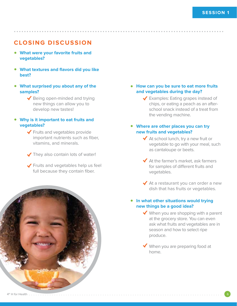### **CLOSING DISCUSSION**

- **What were your favorite fruits and vegetables?**
- **What textures and flavors did you like best?**
- **What surprised you about any of the samples?**
	- $\blacktriangleright$  Being open-minded and trying new things can allow you to develop new tastes!
- **Why is it important to eat fruits and vegetables?**
	- ◆ Fruits and vegetables provide important nutrients such as fiber, vitamins, and minerals.
	- They also contain lots of water!

**PHOTO** OF **KID** EATING

Fruits and vegetables help us feel full because they contain fiber.



**...................................................................................**

### **How can you be sure to eat more fruits and vegetables during the day?**

◆ Examples: Eating grapes instead of chips, or eating a peach as an afterschool snack instead of a treat from the vending machine.

### **Where are other places you can try new fruits and vegetables?**

- $\blacklozenge$  At school lunch, try a new fruit or vegetable to go with your meal, such as cantaloupe or beets.
- $\blacklozenge$  At the farmer's market, ask farmers for samples of different fruits and vegetables.
- ◆ At a restaurant you can order a new dish that has fruits or vegetables.

### **In what other situations would trying new things be a good idea?**

 $\blacktriangleright$  When you are shopping with a parent at the grocery store. You can even ask what fruits and vegetables are in season and how to select ripe produce.

When you are preparing food at home.



**FRUIT**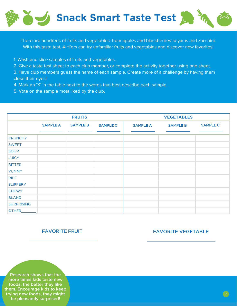

There are hundreds of fruits and vegetables: from apples and blackberries to yams and zucchini. With this taste test, 4-H'ers can try unfamiliar fruits and vegetables and discover new favorites!

1. Wash and slice samples of fruits and vegetables.

2. Give a taste test sheet to each club member, or complete the activity together using one sheet.

3. Have club members guess the name of each sample. Create more of a challenge by having them close their eyes!

- 4. Mark an 'X' in the table next to the words that best describe each sample.
- 5. Vote on the sample most liked by the club.

|                   |                 | <b>FRUITS</b>   |                 | <b>VEGETABLES</b> |                 |                 |
|-------------------|-----------------|-----------------|-----------------|-------------------|-----------------|-----------------|
|                   | <b>SAMPLE A</b> | <b>SAMPLE B</b> | <b>SAMPLE C</b> | <b>SAMPLE A</b>   | <b>SAMPLE B</b> | <b>SAMPLE C</b> |
| <b>CRUNCHY</b>    |                 |                 |                 |                   |                 |                 |
|                   |                 |                 |                 |                   |                 |                 |
| <b>SWEET</b>      |                 |                 |                 |                   |                 |                 |
| <b>SOUR</b>       |                 |                 |                 |                   |                 |                 |
| <b>JUICY</b>      |                 |                 |                 |                   |                 |                 |
| <b>BITTER</b>     |                 |                 |                 |                   |                 |                 |
| <b>YUMMY</b>      |                 |                 |                 |                   |                 |                 |
| <b>RIPE</b>       |                 |                 |                 |                   |                 |                 |
| <b>SLIPPERY</b>   |                 |                 |                 |                   |                 |                 |
| <b>CHEWY</b>      |                 |                 |                 |                   |                 |                 |
| <b>BLAND</b>      |                 |                 |                 |                   |                 |                 |
| <b>SURPRISING</b> |                 |                 |                 |                   |                 |                 |
| <b>OTHER</b>      |                 |                 |                 |                   |                 |                 |

### **FAVORITE FRUIT**

### **FAVORITE VEGETABLE**

**Research shows that the more times kids taste new foods, the better they like them. Encourage kids to keep trying new foods, they might be pleasantly surprised!**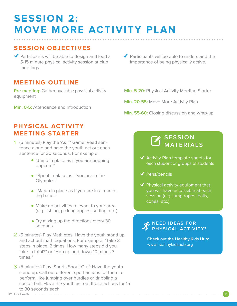# **SESSION 2: MOVE MORE ACTIVITY PLAN ...................................................................................**

### **SESSION OBJECTIVES**

 $\blacktriangledown$  Participants will be able to design and lead a 5-15 minute physical activity session at club meetings.

### **MEETING OUTLINE**

**Pre-meeting:** Gather available physical activity equipment

**Min. 0-5:** Attendance and introduction

### **PHYSICAL ACTIVITY MEETING STARTER**

- (5 minutes) Play the 'As If' Game: Read sen-**1** tence aloud and have the youth act out each sentence for 30 seconds. For example:
	- "Jump in place as if you are popping popcorn!"
	- "Sprint in place as if you are in the Olympics!"
	- "March in place as if you are in a marching band!"
	- Make up activities relevant to your area (e.g. fishing, picking apples, surfing, etc.)
	- Try mixing up the directions every 30 seconds.
- 2 (5 minutes) Play Mathletes: Have the youth stand up and act out math equations. For example, "Take 3 steps in place, 2 times. How many steps did you take in total?" or "Hop up and down 10 minus 3 times!"
- (5 minutes) Play 'Sports Shout-Out': Have the youth **3** stand up. Call out different sport actions for them to perform, like jumping over hurdles or dribbling a soccer ball. Have the youth act out those actions for 15 to 30 seconds each.
- $\blacktriangledown$  Participants will be able to understand the importance of being physically active.
- **Min. 5-20:** Physical Activity Meeting Starter
- **Min. 20-55:** Move More Activity Plan
- **Min. 55-60:** Closing discussion and wrap-up

### **SESSION MATERIALS**

- $\blacklozenge$  Activity Plan template sheets for each student or groups of students
- $\blacklozenge$  Pens/pencils
- $\blacktriangledown$  Physical activity equipment that you will have accessible at each session (e.g. jump ropes, balls, cones, etc.)

### **NEED IDEAS FOR PHYSICAL ACTIVITY?**

**Check out the Healthy Kids Hub:** www.healthykidshub.org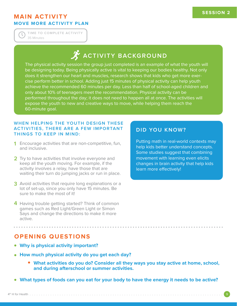### **MAIN ACTIVITY MOVE MORE ACTIVITY PLAN**

35 Minutes **TIME TO COMPLETE ACTIVITY**

# **ACTIVITY BACKGROUND**

The physical activity session the group just completed is an example of what the youth will be designing today. Being physically active is vital to keeping our bodies healthy. Not only does it strengthen our heart and muscles, research shows that kids who get more exercise perform better in school. Adding just 15 minutes of physical activity can help youth achieve the recommended 60 minutes per day. Less than half of school-aged children and only about 10% of teenagers meet the recommendation. Physical activity can be performed throughout the day; it does not need to happen all at once. The activities will expose the youth to new and creative ways to move, while helping them reach the 60-minute goal.

### **WHEN HELPING THE YOUTH DESIGN THESE ACTIVITIES, THERE ARE A FEW IMPORTANT THINGS TO KEEP IN MIND:**

- Encourage activities that are non-competitive, fun, **1** and inclusive.
- **2** Try to have activities that involve everyone and keep all the youth moving. For example, if the activity involves a relay, have those that are waiting their turn do jumping jacks or run in place.
- Avoid activities that require long explanations or a **3** lot of set-up, since you only have 15 minutes. Be sure to make the most of it!
- 4 Having trouble getting started? Think of common games such as Red Light/Green Light or Simon Says and change the directions to make it more active.

### **DID YOU KNOW?**

Putting math in real-world contexts may help kids better understand concepts. Some studies suggest that combining movement with learning even elicits changes in brain activity that help kids learn more effectively!

### **OPENING QUESTIONS**

- **Why is physical activity important?**
- **How much physical activity do you get each day?**
	- **What activities do you do? Consider all they ways you stay active at home, school, and during afterschool or summer activities.**
- **What types of foods can you eat for your body to have the energy it needs to be active?**

**...................................................................................**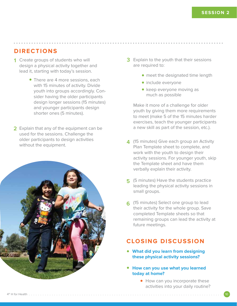### **DIRECTIONS**

- **1** Create groups of students who will design a physical activity together and lead it, starting with today's session.
	- There are 4 more sessions, each with 15 minutes of activity. Divide youth into groups accordingly. Consider having the older participants design longer sessions (15 minutes) and younger participants design shorter ones (5 minutes).
- **2** Explain that any of the equipment can be used for the sessions. Challenge the older participants to design activities without the equipment.



- **3** Explain to the youth that their sessions are required to:
	- meet the designated time length
	- include everyone

**...................................................................................**

• keep everyone moving as much as possible

Make it more of a challenge for older youth by giving them more requirements to meet (make 5 of the 15 minutes harder exercises, teach the younger participants a new skill as part of the session, etc.).

- **4** (15 minutes) Give each group an Activity Plan Template sheet to complete, and work with the youth to design their activity sessions. For younger youth, skip the Template sheet and have them verbally explain their activity.
- **5** (5 minutes) Have the students practice leading the physical activity sessions in small groups.
- (15 minutes) Select one group to lead **6** their activity for the whole group. Save completed Template sheets so that remaining groups can lead the activity at future meetings.

### **CLOSING DISCUSSION**

- **What did you learn from designing these physical activity sessions?**
- **How can you use what you learned today at home?**
	- How can you incorporate these activities into your daily routine?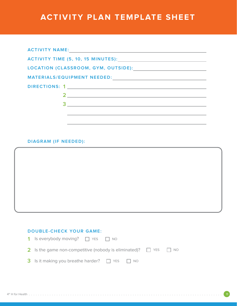# **ACTIVITY PLAN TEMPLATE SHEET**

| <b>ACTIVITY NAME:</b><br><u> 1989 - Andrea Andrew Maria (h. 1989).</u>                                                                                                                                                                                                                                                                                                                |
|---------------------------------------------------------------------------------------------------------------------------------------------------------------------------------------------------------------------------------------------------------------------------------------------------------------------------------------------------------------------------------------|
|                                                                                                                                                                                                                                                                                                                                                                                       |
|                                                                                                                                                                                                                                                                                                                                                                                       |
|                                                                                                                                                                                                                                                                                                                                                                                       |
| DIRECTIONS: 1                                                                                                                                                                                                                                                                                                                                                                         |
| $\overline{\mathbf{2}}$ , and $\overline{\mathbf{2}}$ , and $\overline{\mathbf{2}}$ , and $\overline{\mathbf{2}}$ , and $\overline{\mathbf{2}}$ , and $\overline{\mathbf{2}}$ , and $\overline{\mathbf{2}}$ , and $\overline{\mathbf{2}}$ , and $\overline{\mathbf{2}}$ , and $\overline{\mathbf{2}}$ , and $\overline{\mathbf{2}}$ , and $\overline{\mathbf{2}}$ , and $\overline{\$ |
| 3                                                                                                                                                                                                                                                                                                                                                                                     |
|                                                                                                                                                                                                                                                                                                                                                                                       |
|                                                                                                                                                                                                                                                                                                                                                                                       |

### **DIAGRAM (IF NEEDED):**



### **DOUBLE-CHECK YOUR GAME:**

| 1 Is everybody moving? $\Box$ YES $\Box$ NO                                       |  |  |
|-----------------------------------------------------------------------------------|--|--|
| <b>2</b> Is the game non-competitive (nobody is eliminated)? $\Box$ YES $\Box$ NO |  |  |
| <b>3</b> Is it making you breathe harder? $\Box$ YES $\Box$ NO                    |  |  |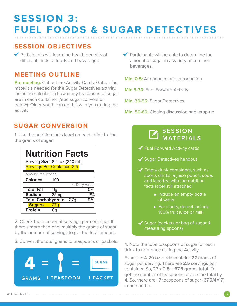# **SESSION 3: FUEL FOODS & SUGAR DETECTIVES ...................................................................................**

### **SESSION OBJECTIVES**

 $\blacktriangledown$  Participants will learn the health benefits of different kinds of foods and beverages.

### **MEETING OUTLINE**

**Pre-meeting:** Cut out the Activity Cards. Gather the materials needed for the Sugar Detectives activity, including calculating how many teaspoons of sugar are in each container (\*see sugar conversion below). Older youth can do this with you during the activity.

 $\blacktriangleright$  Participants will be able to determine the amount of sugar in a variety of common beverages.

**Min. 0-5:** Attendance and introduction

**Min 5-30: Fuel Forward Activity** 

**Min. 30-55:** Sugar Detectives

**Min. 50-60:** Closing discussion and wrap-up

### **SUGAR CONVERSION**

1. Use the nutrition facts label on each drink to find the grams of sugar.

| Nutrition Facts                    |                  |     |               |
|------------------------------------|------------------|-----|---------------|
| Serving Size: 8 fl. oz (240 mL)    |                  |     |               |
| <b>Servings Per Container: 2.5</b> |                  |     |               |
| Amount Per Serving                 |                  |     |               |
| <b>Calories</b>                    | 100              |     |               |
|                                    |                  |     | % Daily Value |
|                                    |                  |     |               |
| <b>Total Fat</b>                   | 0g               |     | በ%            |
| <b>Sodium</b>                      | 35 <sub>mg</sub> |     | 2%            |
| <b>Total Carbohydrate</b>          |                  | 27a |               |
| <b>Sugars</b>                      | 27 <sub>q</sub>  |     |               |

2. Check the number of servings per container. If there's more than one, multiply the grams of sugar by the number of servings to get the total amount.

3. Convert the total grams to teaspoons or packets:



### **SESSION MATERIALS**

 $\blacktriangledown$  Fuel Forward Activity cards

- ◆ Sugar Detectives handout
- $\blacktriangleright$  Empty drink containers, such as sports drinks, a juice pouch, soda, and iced tea with the nutrition facts label still attached
	- Include an empty bottle of water
	- For clarity, do not include 100% fruit juice or milk
- $\checkmark$  Sugar (packets or bag of sugar & measuring spoons)

4. Note the total teaspoons of sugar for each drink to reference during the Activity.

Example: A 20 oz. soda contains **27** grams of sugar per serving. There are **2.5** servings per container. So, **27 x 2.5** = **67.5 grams total.** To get the number of teaspoons, divide the total by **4**. So, there are **17** teaspoons of sugar (**67.5/4=17**) in one bottle.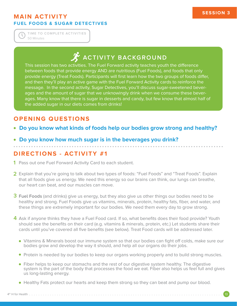### **MAIN ACTIVITY FUEL FOODS & SUGAR DETECTIVES**

50 Minutes **TIME TO COMPLETE ACTIVITIES**

# **ACTIVITY BACKGROUND**

This session has two activities. The Fuel Forward activity teaches youth the difference between foods that provide energy AND are nutritious (Fuel Foods), and foods that only provide energy (Treat Foods). Participants will first learn how the two groups of foods differ, and then they'll play an active game with the Fuel Forward Activity cards to reinforce the message. In the second activity, Sugar Detectives, you'll discuss sugar-sweetened beverages and the amount of sugar that we unknowingly drink when we consume these beverages. Many know that there is sugar in desserts and candy, but few know that almost half of the added sugar in our diets comes from drinks!

### **OPENING QUESTIONS**

- **Do you know what kinds of foods help our bodies grow strong and healthy?**
- **Do you know how much sugar is in the beverages you drink? ...................................................................................**

### **DIRECTIONS - ACTIVITY #1**

- **1** Pass out one Fuel Forward Activity Card to each student.
- 2 Explain that you're going to talk about two types of foods: "Fuel Foods" and "Treat Foods". Explain that all foods give us energy. We need this energy so our brains can think, our lungs can breathe, our heart can beat, and our muscles can move.
- **Fuel Foods** (and drinks) give us energy, but they also give us other things our bodies need to be **3** healthy and strong. Fuel Foods give us vitamins, minerals, protein, healthy fats, fiber, and water, and these things are extremely important for our bodies. We need them every day to grow strong.
- 4 Ask if anyone thinks they have a Fuel Food card. If so, what benefits does their food provide? Youth should see the benefits on their card (e.g. vitamins & minerals, protein, etc.) Let students share their cards until you've covered all five benefits (see below). Treat Food cards will be addressed later.
	- Vitamins & Minerals boost our immune system so that our bodies can fight off colds, make sure our bodies grow and develop the way it should, and help all our organs do their jobs.
	- **Protein is needed by our bodies to keep our organs working properly and to build strong muscles.**
	- Fiber helps to keep our stomachs and the rest of our digestive system healthy. The digestive system is the part of the body that processes the food we eat. Fiber also helps us feel full and gives us long-lasting energy.
	- Healthy Fats protect our hearts and keep them strong so they can beat and pump our blood.

4th H for Health . . . . . . . . . . . . . . . . . . . . . . . . . . . . . . . . . . . . . . . . . . . . . . . . . . . . . . . . . . . . . . . . . . . . . . . . . . . . . . . . . . . . 13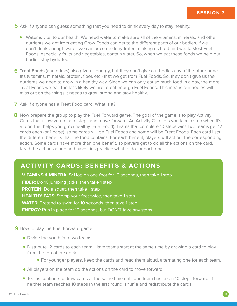- **5** Ask if anyone can guess something that you need to drink every day to stay healthy.
	- Water is vital to our health! We need water to make sure all of the vitamins, minerals, and other nutrients we get from eating Grow Foods can get to the different parts of our bodies. If we don't drink enough water, we can become dehydrated, making us tired and weak. Most Fuel Foods, especially fruits and vegetables, contain water. So, when we eat these foods we help our bodies stay hydrated!
- **Treat Foods** (and drinks) also give us energy, but they don't give our bodies any of the other bene-**6** fits (vitamins, minerals, protein, fiber, etc.) that we get from Fuel Foods. So, they don't give us the nutrients we need to grow in a healthy way. Since we can only eat so much food in a day, the more Treat Foods we eat, the less likely we are to eat enough Fuel Foods. This means our bodies will miss out on the things it needs to grow strong and stay healthy.
- Ask if anyone has a Treat Food card. What is it? **7**
- 8 Now prepare the group to play the Fuel Forward game. The goal of the game is to play Activity Cards that allow you to take steps and move forward. An Activity Card lets you take a step when it's a food that helps you grow healthy (Fuel Food). Teams that complete 10 steps win! Two teams get 12 cards each (or 1 page), some cards will be Fuel Foods and some will be Treat Foods. Each card lists the different benefits that the food contains. For each benefit, players will act out the corresponding action. Some cards have more than one benefit, so players get to do all the actions on the card. Read the actions aloud and have kids practice what to do for each one.

### **ACTIVITY CARDS: BENEFITS & ACTIONS**

**VITAMINS & MINERALS:** Hop on one foot for 10 seconds, then take 1 step **FIBER:** Do 10 jumping jacks, then take 1 step **PROTEIN:** Do a squat, then take 1 step **HEALTHY FATS:** Stomp your feet twice, then take 1 step **WATER:** Pretend to swim for 10 seconds, then take 1 step **ENERGY:** Run in place for 10 seconds, but DON'T take any steps

- **9** How to play the Fuel Forward game:
	- Divide the youth into two teams.
	- Distribute 12 cards to each team. Have teams start at the same time by drawing a card to play from the top of the deck.
		- For younger players, keep the cards and read them aloud, alternating one for each team.
	- All players on the team do the actions on the card to move forward.
	- Teams continue to draw cards at the same time until one team has taken 10 steps forward. If neither team reaches 10 steps in the first round, shuffle and redistribute the cards.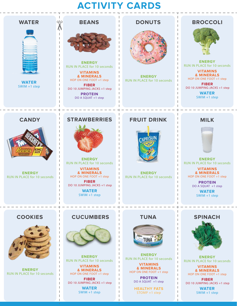# **ACTIVITY CARDS**

 $\overline{\phantom{a}}$  $\overline{\phantom{a}}$ 

 $\overline{\phantom{a}}$  $\overline{\phantom{a}}$ 

 $\overline{1}$ I I

> J. J.



 $Q<sup>I</sup>Q$ 

**WATER** SWIM +1 step

**CANDY**





**ENERGY** RUN IN PLACE for 10 seconds

**VITAMINS & MINERALS** HOP ON ONE FOOT +1 step **FIBER**

 DO 10 JUMPING JACKS +1 step **PROTEIN** DO A SQUAT +1 step

### **DONUTS**



**ENERGY** RUN IN PLACE for 10 seconds

### **BROCCOLI**



**ENERGY** RUN IN PLACE for 10 seconds

**VITAMINS & MINERALS** HOP ON ONE FOOT +1 step

**FIBER** DO 10 JUMPING JACKS +1 step

**WATER** SWIM +1 step

### **MILK**



**ENERGY** RUN IN PLACE for 10 seconds

**VITAMINS & MINERALS** HOP ON ONE FOOT +1 step

> **PROTEIN** DO A SQUAT +1 step

> > **WATER** SWIM +1 step

### **COOKIES**

**ENERGY** RUN IN PLACE for 10 seconds



**ENERGY** RUN IN PLACE for 10 seconds

### **CUCUMBERS**



**ENERGY** RUN IN PLACE for 10 seconds

**VITAMINS & MINERALS** HOP ON ONE FOOT +1 step

**FIBER** DO 10 JUMPING JACKS +1 step

> **WATER** SWIM +1 step





**ENERGY** RUN IN PLACE for 10 seconds

**VITAMINS & MINERALS** HOP ON ONE FOOT +1 step

**PROTEIN** DO A SQUAT +1 step

**HEALTHY FATS** STOMP +1 step



**ENERGY** RUN IN PLACE for 10 seconds

**VITAMINS & MINERALS** HOP ON ONE FOOT +1 step

**FIBER** DO 10 JUMPING JACKS +1 step

> **WATER** SWIM +1 step



RUN IN PLACE for 10 seconds

**& MINERALS** HOP ON ONE FOOT +1 step **FIBER**

 DO 10 JUMPING JACKS +1 step **WATER** SWIM +1 step

# **STRAWBERRIES**



**ENERGY**

**VITAMINS**

# **FRUIT DRINK**



**ENERGY** RUN IN PLACE for 10 seconds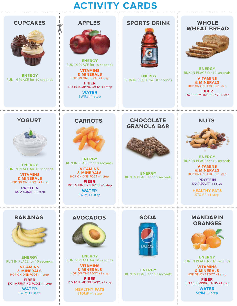# **ACTIVITY CARDS**



**ENERGY** RUN IN PLACE for 10 seconds

> $\overline{\phantom{a}}$  $\overline{\phantom{a}}$

**VITAMINS & MINERALS** HOP ON ONE FOOT +1 step

**FIBER** DO 10 JUMPING JACKS +1 step

> **WATER** SWIM +1 step



**ENERGY** RUN IN PLACE for 10 seconds

**VITAMINS & MINERALS** HOP ON ONE FOOT +1 step

**FIBER** DO 10 JUMPING JACKS +1 step

> **HEALTHY FATS** STOMP +1 step



**ENERGY** RUN IN PLACE for 10 seconds



**ENERGY** RUN IN PLACE for 10 seconds

**VITAMINS & MINERALS** HOP ON ONE FOOT +1 step

**FIBER** DO 10 JUMPING JACKS +1 step

> **WATER** SWIM +1 step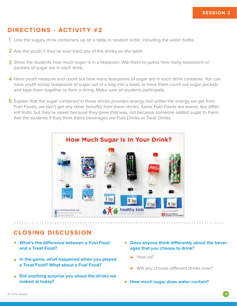### **DIRECTIONS - ACTIVITY #2**

- 1 Line the sugary drink containers up on a table in random order, including the water bottle.
- 2 Ask the youth if they've ever tried any of the drinks on the table.
- 3 Show the students how much sugar is in a teaspoon. Ask them to guess how many teaspoons or packets of sugar are in each drink.
- Have youth measure and count out how many teaspoons of sugar are in each drink container. You can **4** have youth scoop teaspoons of sugar out of a bag into a bowl, or have them count out sugar packets and tape them together to form a string. Make sure all students participate.
- **5** Explain that the sugar contained in these drinks provides energy, but unlike the energy we get from Fuel Foods, we don't get any other benefits from these drinks. Some Fuel Foods are sweet, like different fruits, but they're sweet because they grew that way, not because someone added sugar to them. Ask the students if they think these beverages are Fuel Drinks or Treat Drinks.



### **CLOSING DISCUSSION**

- **What's the difference between a Fuel Food and a Treat Food?**
- **In the game, what happened when you played a Treat Food? What about a Fuel Food?**
- **Did anything surprise you about the drinks we looked at today?**
- **Does anyone think differently about the beverages that you choose to drink?**
	- $\bullet$  How so?
	- Will you choose different drinks now?
- **How much sugar does water contain?**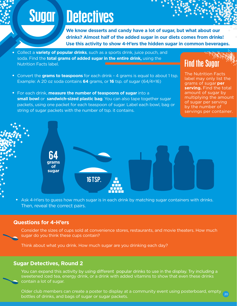# **Sugar Detectives**

**We know desserts and candy have a lot of sugar, but what about our drinks? Almost half of the added sugar in our diets comes from drinks! Use this activity to show 4-H'ers the hidden sugar in common beverages.**

- Collect a **variety of popular drinks**, such as a sports drink, juice pouch, and soda. Find the **total grams of added sugar in the entire drink,** using the Nutrition Facts label.
- Convert the **grams to teaspoons** for each drink 4 grams is equal to about 1 tsp. Example: A 20 oz soda contains **64** grams, or **16** tsp. of sugar (64/4=16)
- For each drink, **measure the number of teaspoons of sugar** into a **small bowl** or **sandwich-sized plastic bag**. You can also tape together sugar packets, using one packet for each teaspoon of sugar. Label each bowl, bag or string of sugar packets with the number of tsp. it contains.

Find the Sugar

The Nutrition Facts label may only list the grams of sugar **per serving.** Find the total amount of sugar by multiplying the amount of sugar per serving by the number of servings per container.



• Ask 4-H'ers to quess how much sugar is in each drink by matching sugar containers with drinks. Then, reveal the correct pairs.

### **Questions for 4-H'ers**

Consider the sizes of cups sold at convenience stores, restaurants, and movie theaters. How much sugar do you think these cups contain?

Think about what you drink. How much sugar are you drinking each day?

### **Sugar Detectives, Round 2**

You can expand this activity by using different popular drinks to use in the display. Try including a sweetened iced tea, energy drink, or a drink with added vitamins to show that even these drinks contain a lot of sugar.

Older club members can create a poster to display at a community event using posterboard, empty bottles of drinks, and bags of sugar or sugar packets. 20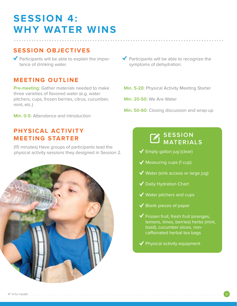# **SESSION 4: WHY WATER WINS ...................................................................................**

### **SESSION OBJECTIVES**

 $\blacktriangledown$  Participants will be able to explain the importance of drinking water.

### **MEETING OUTLINE**

**Pre-meeting:** Gather materials needed to make three varieties of flavored water (e.g. water pitchers, cups, frozen berries, citrus, cucumber, mint, etc.)

**Min. 0-5:** Attendance and introduction

### **PHYSICAL ACTIVITY MEETING STARTER**

(15 minutes) Have groups of participants lead the physical activity sessions they designed in Session 2.



- $\blacktriangleright$  Participants will be able to recognize the symptoms of dehydration.
- **Min. 5-20:** Physical Activity Meeting Starter
- **Min. 20-50:** We Are Water
- **Min. 50-60:** Closing discussion and wrap-up

### **SESSION MATERIALS**

- $\checkmark$  Empty gallon jug (clear)
- $\blacklozenge$  Measuring cups (1 cup)
- $\blacktriangledown$  Water (sink access or large jug)
- ◆ Daily Hydration Chart
- ◆ Water pitchers and cups
- $\blacktriangleright$  Blank pieces of paper
- $\blacktriangledown$  Frozen fruit, fresh fruit (oranges, lemons, limes, berries) herbs (mint, basil), cucumber slices, noncaffeinated herbal tea bags
- $\blacklozenge$  Physical activity equipment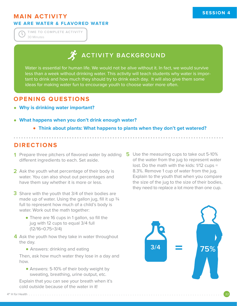### **MAIN ACTIVITY WE ARE WATER & FLAVORED WATER**

30 Minutes **TIME TO COMPLETE ACTIVITY**

# **ACTIVITY BACKGROUND**

Water is essential for human life. We would not be alive without it. In fact, we would survive less than a week without drinking water. This activity will teach students why water is important to drink and how much they should try to drink each day. It will also give them some ideas for making water fun to encourage youth to choose water more often.

### **OPENING QUESTIONS**

- **Why is drinking water important?**
- **What happens when you don't drink enough water?**
	- **Think about plants: What happens to plants when they don't get watered?**

**...................................................................................**

### **DIRECTIONS**

- **1** Prepare three pitchers of flavored water by adding different ingredients to each. Set aside.
- 2 Ask the youth what percentage of their body is water. You can also shout out percentages and have them say whether it is more or less.
- **3** Share with the youth that 3/4 of their bodies are made up of water. Using the gallon jug, fill it up  $\frac{3}{4}$ full to represent how much of a child's body is water. Work out the math together:
	- There are 16 cups in 1 gallon, so fill the jug with 12 cups to equal 3/4 full (12/16=0.75=3/4)
- **4** Ask the youth how they take in water throughout the day.
	- Answers: drinking and eating

Then, ask how much water they lose in a day and how.

Answers: 5-10% of their body weight by sweating, breathing, urine output, etc.

Explain that you can see your breath when it's cold outside because of the water in it!

**5** Use the measuring cups to take out 5-10% of the water from the jug to represent water lost. Do the math with the kids: 1/12 cups = 8.3%. Remove 1 cup of water from the jug. Explain to the youth that when you compare the size of the jug to the size of their bodies, they need to replace a lot more than one cup.

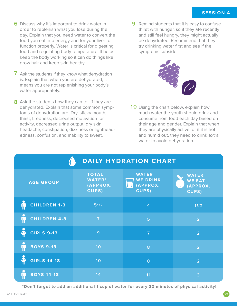- **6** Discuss why it's important to drink water in **9** order to replenish what you lose during the day. Explain that you need water to convert the food you eat into energy and for your liver to function properly. Water is critical for digesting food and regulating body temperature. It helps keep the body working so it can do things like grow hair and keep skin healthy.
- **7** Ask the students if they know what dehydration is. Explain that when you are dehydrated, it means you are not replenishing your body's water appropriately.
- **8** Ask the students how they can tell if they are dehydrated. Explain that some common symptoms of dehydration are: Dry, sticky mouth, thirst, tiredness, decreased motivation for activity, decreased urine output, dry skin, headache, constipation, dizziness or lightheadedness, confusion, and inability to sweat.

**9** Remind students that it is easy to confuse thirst with hunger, so if they ate recently and still feel hungry, they might actually be dehydrated. Recommend that they try drinking water first and see if the symptoms subside.



10 Using the chart below, explain how much water the youth should drink and consume from food each day based on their age and gender. Explain that when they are physically active, or if it is hot and humid out, they need to drink extra water to avoid dehydration.

| <b>DAILY HYDRATION CHART</b>             |                                                           |                                                             |                                                    |  |  |
|------------------------------------------|-----------------------------------------------------------|-------------------------------------------------------------|----------------------------------------------------|--|--|
| <b>AGE GROUP</b>                         | <b>TOTAL</b><br><b>WATER*</b><br>(APPROX.<br><b>CUPS)</b> | <b>WATER</b><br><b>WE DRINK</b><br>(APPROX.<br><b>CUPS)</b> | <b>WATER</b><br><b>WE EAT</b><br>(APPROX.<br>CUPS) |  |  |
| <b>CHILDREN 1-3</b>                      | 51/2                                                      | $\overline{4}$                                              | 11/2                                               |  |  |
| <b>CHILDREN 4-8</b>                      | $\overline{7}$                                            | 5                                                           | $\overline{2}$                                     |  |  |
| <b>GIRLS 9-13</b><br>$\tilde{\bm{\Phi}}$ | 9                                                         | $\overline{7}$                                              | $\overline{2}$                                     |  |  |
| <b>BOYS 9-13</b>                         | 10                                                        | 8                                                           | $\overline{2}$                                     |  |  |
| <b>GIRLS 14-18</b>                       | 10                                                        | 8                                                           | $\overline{2}$                                     |  |  |
| <b>BOYS 14-18</b>                        | 14                                                        | 11                                                          | 3                                                  |  |  |

**\*Don't forget to add an additional 1 cup of water for every 30 minutes of physical activity!**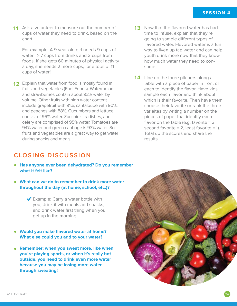**11** Ask a volunteer to measure out the number of **13** cups of water they need to drink, based on the chart.

For example: A 9 year-old girl needs 9 cups of water => 7 cups from drinks and 2 cups from foods. If she gets 60 minutes of physical activity a day, she needs 2 more cups, for a total of 11 cups of water!

- **12** Explain that water from food is mostly found in fruits and vegetables (Fuel Foods). Watermelon and strawberries contain about 92% water by volume. Other fruits with high water content include grapefruit with 91%, cantaloupe with 90%, and peaches with 88%. Cucumbers and lettuce consist of 96% water. Zucchinis, radishes, and celery are comprised of 95% water. Tomatoes are 94% water and green cabbage is 93% water. So fruits and vegetables are a great way to get water during snacks and meals.
- 13 Now that the flavored water has had time to infuse, explain that they're going to sample different types of flavored water. Flavored water is a fun way to liven up tap water and can help youth drink more now that they know how much water they need to consume.
- **14** Line up the three pitchers along a table with a piece of paper in front of each to identify the flavor. Have kids sample each flavor and think about which is their favorite. Then have them choose their favorite or rank the three varieites by writing a number on the pieces of paper that identify each flavor on the table (e.g. favorite  $= 3$ , second favorite  $= 2$ , least favorite  $= 1$ ). Total up the scores and share the results.

### **CLOSING DISCUSSION**

- **Has anyone ever been dehydrated? Do you remember what it felt like?**
- **What can we do to remember to drink more water throughout the day (at home, school, etc.)?**

 $\blacktriangleright$  Example: Carry a water bottle with you, drink it with meals and snacks, and drink water first thing when you get up in the morning.

- **Would you make flavored water at home? What else could you add to your water?**
- **Remember: when you sweat more, like when you're playing sports, or when it's really hot outside, you need to drink even more water because you may be losing more water through sweating!**

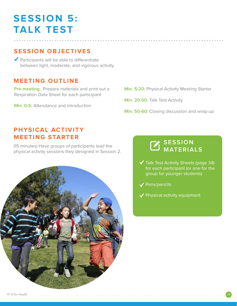# **SESSION 5: TALK TEST**

### **SESSION OBJECTIVES**

◆ Participants will be able to differentiate between light, moderate, and vigorous activity.

### **MEETING OUTLINE**

**Pre-meeting:** Prepare materials and print out a Respiration Data Sheet for each participant

**Min. 0-5:** Attendance and introduction

**Min. 5-20:** Physical Activity Meeting Starter

**Min. 20-50:** Talk Test Activity

**...................................................................................**

**Min. 50-60:** Closing discussion and wrap-up

### **PHYSICAL ACTIVITY MEETING STARTER**

(15 minutes) Have groups of participants lead the physical activity sessions they designed in Session 2.



### **SESSION MATERIALS**

- $\blacktriangledown$  Talk Test Activity Sheets (page 34) for each participant (or one for the group for younger students)
- ◆ Pens/pencils
- ◆ Physical activity equipment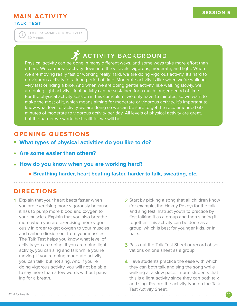### **MAIN ACTIVITY TALK TEST**

30 Minutes **TIME TO COMPLETE ACTIVITY**

# **ACTIVITY BACKGROUND**

Physical activity can be done in many different ways, and some ways take more effort than others. We can break activity down into three levels: vigorous, moderate, and light. When we are moving really fast or working really hard, we are doing vigorous activity. It's hard to do vigorous activity for a long period of time. Moderate activity is like when we're walking very fast or riding a bike. And when we are doing gentle activity, like walking slowly, we are doing light activity. Light activity can be sustained for a much longer period of time. For the physical activity session in this curriculum, we only have 15 minutes, so we want to make the most of it, which means aiming for moderate or vigorous activity. It's important to know what level of activity we are doing so we can be sure to get the recommended 60 minutes of moderate to vigorous activity per day. All levels of physical activity are great, but the harder we work the healthier we will be!

### **OPENING QUESTIONS**

- **What types of physical activities do you like to do?**
- **Are some easier than others?**
- **How do you know when you are working hard?**
	- **Breathing harder, heart beating faster, harder to talk, sweating, etc.**

**...................................................................................**

4th H for Health . . . . . . . . . . . . . . . . . . . . . . . . . . . . . . . . . . . . . . . . . . . . . . . . . . . . . . . . . . . . . . . . . . . . . . . . . . . . . . . . . . . . . 26

### **DIRECTIONS**

- **1 2** Explain that your heart beats faster when you are exercising more vigorously because it has to pump more blood and oxygen to your muscles. Explain that you also breathe more when you are exercising more vigorously in order to get oxygen to your muscles and carbon dioxide out from your muscles. The Talk Test helps you know what level of activity you are doing. If you are doing light activity, you can sing and talk while you're moving. If you're doing moderate activity you can talk, but not sing. And if you're doing vigorous activity, you will not be able to say more than a few words without pausing for a breath.
- **2** Start by picking a song that all children know (for example, the Hokey Pokey) for the talk and sing test. Instruct youth to practice by first talking it as a group and then singing it together. This activity can be done as a group, which is best for younger kids, or in pairs.
	- **3** Pass out the Talk Test Sheet or record observations on one sheet as a group.
	- **4** Have students practice the ease with which they can both talk and sing the song while walking at a slow pace. Inform students that this is a light activity since they can both talk and sing. Record the activity type on the Talk Test Activity Sheet.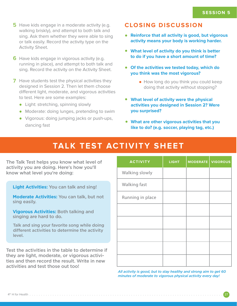- **5** Have kids engage in a moderate activity (e.g. walking briskly), and attempt to both talk and sing. Ask them whether they were able to sing or talk easily. Record the activity type on the Activity Sheet.
- **6** Have kids engage in vigorous activity (e.g. running in place), and attempt to both talk and sing. Record the activity on the Activity Sheet.
- **7** Have students test the physical activities they designed in Session 2. Then let them choose different light, moderate, and vigorous activities to test. Here are some examples:
	- Light: stretching, spinning slowly
	- Moderate: doing lunges, pretending to swim
	- Vigorous: doing jumping jacks or push-ups, dancing fast

### **CLOSING DISCUSSION**

- **Reinforce that all activity is good, but vigorous activity means your body is working harder.**
- **What level of activity do you think is better to do if you have a short amount of time?**
- **Of the activities we tested today, which do you think was the most vigorous?**
	- How long do you think you could keep doing that activity without stopping?
- **What level of activity were the physical activities you designed in Session 2? Were you surprised?**
- **What are other vigorous activities that you like to do? (e.g. soccer, playing tag, etc.)**

## **TALK TEST ACTIVITY SHEET**

The Talk Test helps you know what level of activity you are doing. Here's how you'll know what level you're doing:

**Light Activities:** You can talk and sing!

**Moderate Activities:** You can talk, but not sing easily.

**Vigorous Activities:** Both talking and singing are hard to do.

Talk and sing your favorite song while doing different activities to determine the activity level.

Test the activities in the table to determine if they are light, moderate, or vigorous activities and then record the result. Write in new activities and test those out too!

| <b>ACTIVITY</b>  | <b>LIGHT</b> | <b>MODERATE</b> | <b>VIGOROUS</b> |
|------------------|--------------|-----------------|-----------------|
| Walking slowly   |              |                 |                 |
| Walking fast     |              |                 |                 |
| Running in place |              |                 |                 |
|                  |              |                 |                 |
|                  |              |                 |                 |
|                  |              |                 |                 |
|                  |              |                 |                 |
|                  |              |                 |                 |

*All activity is good, but to stay healthy and strong aim to get 60 minutes of moderate to vigorous physical activity every day!* 

**ACTIVITY LIGHT MODERATE**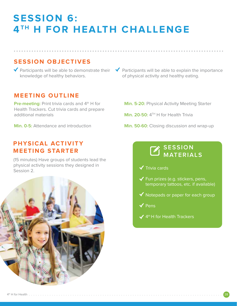# **SESSION 6: 4TH H FOR HEALTH CHALLENGE**

**...................................................................................**

### **SESSION OBJECTIVES**

knowledge of healthy behaviors.

### **MEETING OUTLINE**

**Pre-meeting:** Print trivia cards and 4<sup>th</sup> H for Health Trackers. Cut trivia cards and prepare additional materials

**Min. 0-5:** Attendance and introduction

### **PHYSICAL ACTIVITY MEETING STARTER**

(15 minutes) Have groups of students lead the physical activity sessions they designed in Session 2.



- Participants will be able to demonstrate their  $\sqrt{\phantom{a}}$  Participants will be able to explain the importance of physical activity and healthy eating.
	- **Min. 5-20:** Physical Activity Meeting Starter
	- **Min. 20-50:** 4<sup>TH</sup> H for Health Trivia
	- **Min. 50-60:** Closing discussion and wrap-up

### **SESSION MATERIALS**

- $\checkmark$  Trivia cards
- $\checkmark$  Fun prizes (e.g. stickers, pens, temporary tattoos, etc. if available)
- $\blacktriangledown$  Notepads or paper for each group
- $\checkmark$  Pens
- $\blacktriangledown$  4<sup>th</sup> H for Health Trackers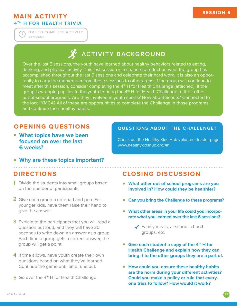### **MAIN ACTIVITY 4TH H FOR HEALTH TRIVIA**

30 Minutes **TIME TO COMPLETE ACTIVITY**

# **ACTIVITY BACKGROUND**

Over the last 5 sessions, the youth have learned about healthy behaviors related to eating, drinking, and physical activity. This last session is a chance to reflect on what the group has accomplished throughout the last 5 sessions and celebrate their hard work. It is also an opportunity to carry the momentum from these sessions to other areas. If the group will continue to meet after this session, consider completing the 4<sup>th</sup> H for Health Challenge (attached). If the group is wrapping up, invite the youth to bring the 4<sup>th</sup> H for Health Challenge to their other out-of-school programs. Are they involved in youth sports? How about Scouts? Connected to the local YMCA? All of these are opportunities to complete the Challenge in those programs and continue their healthy habits.

### **OPENING QUESTIONS**

**What topics have we been focused on over the last 6 weeks?**

### Check out the Healthy Kids Hub volunteer leader page:

www.healthykidshub.org/4h

**Why are these topics important? ...................................................................................**

### **DIRECTIONS**

- **1** Divide the students into small groups based on the number of participants.
- **2** Give each group a notepad and pen. For younger kids, have them raise their hand to give the answer.
- **3** Explain to the participants that you will read a question out loud, and they will have 30 seconds to write down an answer as a group. Each time a group gets a correct answer, the group will get a point.
- **4** If time allows, have youth create their own questions based on what they've learned. Continue the game until time runs out.
- 5 Go over the 4<sup>th</sup> H for Health Challenge.

### **CLOSING DISCUSSION**

**QUESTIONS ABOUT THE CHALLENGE?**

- **What other out-of-school programs are you involved in? How could they be healthier?**
- **Can you bring the Challenge to these programs?**
- **What other areas in your life could you incorporate what you learned over the last 6 sessions?**
	- ◆ Family meals, at school, church groups, etc.
- **Give each student a copy of the 4<sup>th</sup> H for Health Challenge and explain how they can bring it to the other groups they are a part of.**
- **How could you ensure these healthy habits**  are the norm during your different activities? **Could you make a policy or rule that everyone tries to follow? How would it work?**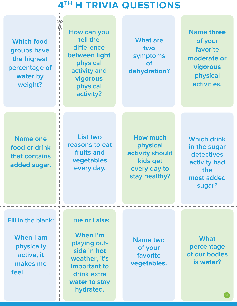# **4TH H TRIVIA QUESTIONS**

| qΙρ<br><b>Which food</b><br>groups have<br>the highest<br>percentage of<br>water by<br>weight? | How can you<br>tell the<br>difference<br>between light<br>physical<br>activity and<br>vigorous<br>physical<br>activity?                        | <b>What are</b><br>two<br>symptoms<br>$\mathsf{of}$<br>dehydration?                                | <b>Name three</b><br>of your<br>favorite<br>moderate or<br>vigorous<br>physical<br>activities.  |
|------------------------------------------------------------------------------------------------|------------------------------------------------------------------------------------------------------------------------------------------------|----------------------------------------------------------------------------------------------------|-------------------------------------------------------------------------------------------------|
| <b>Name one</b><br>food or drink<br>that contains<br>added sugar.                              | List two<br>reasons to eat<br>fruits and<br>vegetables<br>every day.                                                                           | <b>How much</b><br><b>physical</b><br>activity should<br>kids get<br>every day to<br>stay healthy? | <b>Which drink</b><br>in the sugar<br>detectives<br>activity had<br>the<br>most added<br>sugar? |
| Fill in the blank:<br>When I am<br>physically<br>active, it<br>makes me<br>feel _________.     | <b>True or False:</b><br>When I'm<br>playing out-<br>side in hot<br>weather, it's<br>important to<br>drink extra<br>water to stay<br>hydrated. | <b>Name two</b><br>of your<br>favorite<br>vegetables.                                              | <b>What</b><br>percentage<br>of our bodies<br>is water?                                         |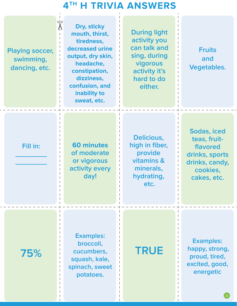# **4TH H TRIVIA ANSWERS**

**Playing soccer, swimming, dancing, etc.**

 $\frac{d}{dt}$ 

**Dry, sticky mouth, thirst, tiredness, decreased urine output, dry skin, headache, constipation, dizziness, confusion, and inability to sweat, etc.**

**During light activity you can talk and sing, during vigorous activity it's hard to do either.** 

**Fruits and Vegetables.** 

### **Fill in:**

**\_\_\_\_\_\_\_\_ \_\_\_\_\_\_\_\_**

**60 minutes of moderate or vigorous activity every day!**

**Delicious, high in fiber, provide vitamins & minerals, hydrating, etc.**

**Sodas, iced teas, fruitflavored drinks, sports drinks, candy, cookies, cakes, etc.** 

**75%**

**Examples: broccoli, cucumbers, squash, kale, spinach, sweet potatoes.**

# **TRUE**

**Examples: happy, strong, proud, tired, excited, good, energetic**

 $\left( 32\right)$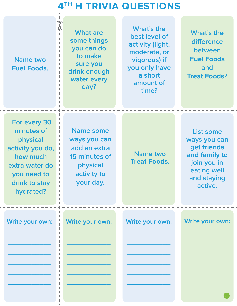# **4TH H TRIVIA QUESTIONS**

| qlp<br><b>Name two</b><br><b>Fuel Foods.</b>                                                                                          | <b>What are</b><br>some things<br>you can do<br>to make<br>sure you<br>drink enough<br>water every<br>day? | What's the<br>best level of<br>activity (light,<br>moderate, or<br>vigorous) if<br>you only have<br>a short<br>amount of<br>time? | <b>What's the</b><br>difference<br>between<br><b>Fuel Foods</b><br>and<br><b>Treat Foods?</b>                            |
|---------------------------------------------------------------------------------------------------------------------------------------|------------------------------------------------------------------------------------------------------------|-----------------------------------------------------------------------------------------------------------------------------------|--------------------------------------------------------------------------------------------------------------------------|
| For every 30<br>minutes of<br>physical<br>activity you do,<br>how much<br>extra water do<br>you need to<br>drink to stay<br>hydrated? | <b>Name some</b><br>ways you can<br>add an extra<br>15 minutes of<br>physical<br>activity to<br>your day.  | <b>Name two</b><br><b>Treat Foods.</b>                                                                                            | <b>List some</b><br>ways you can<br>get friends<br>and family to<br>join you in<br>eating well<br>and staying<br>active. |
| Write your own:                                                                                                                       | Write your own:                                                                                            | Write your own:                                                                                                                   | Write your own:                                                                                                          |
|                                                                                                                                       |                                                                                                            |                                                                                                                                   | 33                                                                                                                       |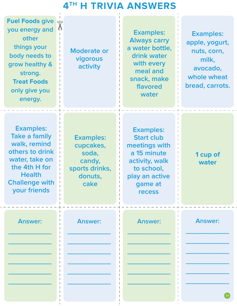# **4TH H TRIVIA ANSWERS**

| <b>Fuel Foods give</b><br>qlp<br>$\sqrt{ }$<br>you energy and<br>other<br>things your<br>body needs to<br>grow healthy &<br>strong.<br><b>Treat Foods</b><br>only give you<br>energy. | <b>Moderate or</b><br>vigorous<br>activity                                            | <b>Examples:</b><br><b>Always carry</b><br>a water bottle,<br>drink water<br>with every<br>meal and<br>snack, make<br>flavored<br>water             | <b>Examples:</b><br>apple, yogurt,<br>nuts, corn,<br>milk,<br>avocado,<br>whole wheat<br>bread, carrots. |
|---------------------------------------------------------------------------------------------------------------------------------------------------------------------------------------|---------------------------------------------------------------------------------------|-----------------------------------------------------------------------------------------------------------------------------------------------------|----------------------------------------------------------------------------------------------------------|
| <b>Examples:</b><br>Take a family<br>walk, remind<br>others to drink<br>water, take on<br>the 4th H for<br><b>Health</b><br><b>Challenge with</b><br>your friends                     | <b>Examples:</b><br>cupcakes,<br>soda,<br>candy,<br>sports drinks,<br>donuts,<br>cake | <b>Examples:</b><br><b>Start club</b><br>meetings with<br>a 15 minute<br>activity, walk<br>to school,<br>play an active<br>game at<br><b>recess</b> | 1 cup of<br>water                                                                                        |
| <b>Answer:</b>                                                                                                                                                                        | <b>Answer:</b>                                                                        | <b>Answer:</b>                                                                                                                                      | <b>Answer:</b>                                                                                           |
|                                                                                                                                                                                       |                                                                                       |                                                                                                                                                     |                                                                                                          |
|                                                                                                                                                                                       |                                                                                       |                                                                                                                                                     |                                                                                                          |
|                                                                                                                                                                                       |                                                                                       |                                                                                                                                                     |                                                                                                          |
|                                                                                                                                                                                       |                                                                                       |                                                                                                                                                     |                                                                                                          |

 $\overline{\phantom{a}}$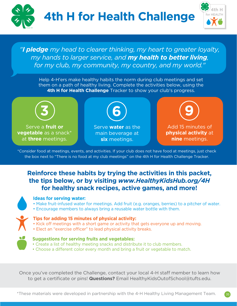

*"I pledge my head to clearer thinking, my heart to greater loyalty, my hands to larger service, and my health to better living, for my club, my community, my country, and my world."*

Help 4-H'ers make healthy habits the norm during club meetings and set them on a path of healthy living. Complete the activities below, using the **4th H for Health Challenge** Tracker to show your club's progress.



Serve a **fruit or vegetable** as a snack\* at **three** meetings.



Serve **water** as the main beverage at **six** meetings.

**9**

Add 15 minutes of **physical activity** at **nine** meetings.

\*Consider food at meetings, events, and activities. If your club does not have food at meetings, just check the box next to "There is no food at my club meetings" on the 4th H for Health Challenge Tracker.

### **Reinforce these habits by trying the activities in this packet, the tips below, or by visiting** *www.HealthyKidsHub.org/4H* **for healthy snack recipes, active games, and more!**



### **Ideas for serving water:**

- Make fruit-infused water for meetings. Add fruit (e.g. oranges, berries) to a pitcher of water.
- Encourage members to always bring a reusable water bottle with them.



### **Tips for adding 15 minutes of physical activity:**

- Kick off meetings with a short game or activity that gets everyone up and moving.
- Elect an "exercise officer" to lead physical activity breaks.



### **Suggestions for serving fruits and vegetables:**

- Create a list of healthy meeting snacks and distribute it to club members.
- Choose a different color every month and bring a fruit or vegetable to match.

Once you've completed the Challenge, contact your local 4-H staff member to learn how to get a certificate or pins! **Questions?** Email HealthyKidsOutofSchool@tufts.edu.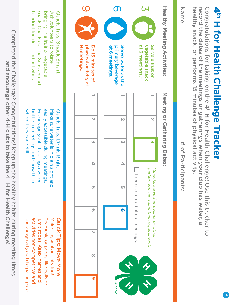

36

record the dates of the meetings or gatherings when your club has water, a healthy snack, or performs 15 minutes of physical activity. record the dates of the meetings or gatherings when your club has water, a Congratulations for taking on the 4th H for Health Challenge! Use this tracker to Congratulations for taking on the 4th H for Health Challenge! Use this tracker to



Completed the Challenge? Congratulations! Keep up the healthy habits during meeting times Completed the Challenge? Congratulations! Keep up the healthy habits during meeting times and encourage other 4-H clubs to take the 4<sup>th</sup> H for Health Challenge! and encourage other 4-H clubs to take the 4th H for Health Challenge!

where they can refill it.

where they can refill it.

handout for ideas and activities

encourage all youth to participate.

encourage all youth to participate.